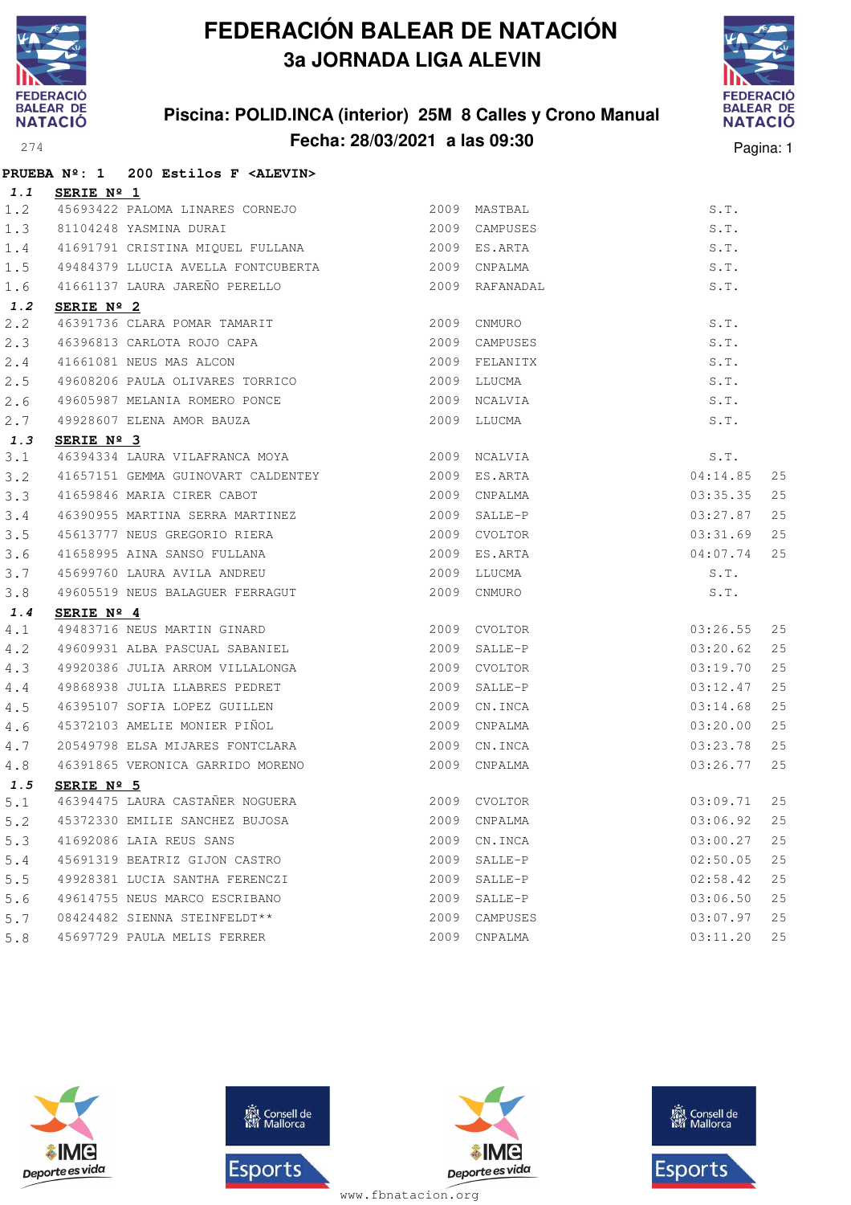

### **Piscina: POLID.INCA (interior) 25M 8 Calles y Crono Manual Fecha: 28/03/2021 a las 09:30**<sup>274</sup> Pagina: 1



|       | PRUEBA Nº: 1 200 Estilos F <alevin></alevin>                                              |               |                |          |    |
|-------|-------------------------------------------------------------------------------------------|---------------|----------------|----------|----|
| 1.1   | SERIE Nº 1                                                                                |               |                |          |    |
| 1.2   | 45693422 PALOMA LINARES CORNEJO 2009 MASTBAL                                              |               |                | S.T.     |    |
| 1.3   | 81104248 YASMINA DURAI                                                                    | 2009 CAMPUSES |                | S.T.     |    |
| 1.4   | 41691791 CRISTINA MIQUEL FULLANA (2009 ES.ARTA                                            |               |                | S.T.     |    |
| 1.5   | 49484379 LLUCIA AVELLA FONTCUBERTA 2009 CNPALMA                                           |               |                | S.T.     |    |
| 1.6   | 41661137 LAURA JAREÑO PERELLO                                                             |               | 2009 RAFANADAL | S.T.     |    |
| 1.2   | SERIE Nº 2                                                                                |               |                |          |    |
| 2.2   | 46391736 CLARA POMAR TAMARIT                                                              | 2009          | CNMURO         | S.T.     |    |
| 2.3   | 46396813 CARLOTA ROJO CAPA                                                                |               | 2009 CAMPUSES  | S.T.     |    |
| 2.4   | 41661081 NEUS MAS ALCON                                                                   |               | 2009 FELANITX  | S.T.     |    |
| 2.5   | 49608206 PAULA OLIVARES TORRICO                                                           |               | 2009 LLUCMA    | S.T.     |    |
| 2.6   | 49605987 MELANIA ROMERO PONCE                                                             |               | 2009 NCALVIA   | S.T.     |    |
| 2.7   | 49928607 ELENA AMOR BAUZA                                                                 |               | 2009 LLUCMA    | S.T.     |    |
| 1.3   | SERIE Nº 3                                                                                |               |                |          |    |
| 3.1   | 46394334 LAURA VILAFRANCA MOYA 2009 NCALVIA                                               |               |                | S.T.     |    |
| 3.2   | 41657151 GEMMA GUINOVART CALDENTEY 6000 2009 ES.ARTA                                      |               |                | 04:14.85 | 25 |
| 3.3   | 41659846 MARIA CIRER CABOT                                                                | 2009 CNPALMA  |                | 03:35.35 | 25 |
| 3.4   | 46390955 MARTINA SERRA MARTINEZ                                                           |               | 2009 SALLE-P   | 03:27.87 | 25 |
| 3.5   | 45613777 NEUS GREGORIO RIERA<br>41658995 AINA SANSO FULLANA                               |               | 2009 CVOLTOR   | 03:31.69 | 25 |
| 3.6   |                                                                                           |               | 2009 ES.ARTA   | 04:07.74 | 25 |
| 3.7   | 45699760 LAURA AVILA ANDREU                                                               |               | 2009 LLUCMA    | S.T.     |    |
| 3.8   | 49605519 NEUS BALAGUER FERRAGUT                                                           |               | 2009 CNMURO    | S.T.     |    |
| 1.4   | SERIE $N^{\circ}$ 4                                                                       |               |                |          |    |
| 4.1   | 49483716 NEUS MARTIN GINARD                                                               |               | 2009 CVOLTOR   | 03:26.55 | 25 |
| 4.2   | 49609931 ALBA PASCUAL SABANIEL 2009 SALLE-P                                               |               |                | 03:20.62 | 25 |
| 4.3   | 49920386 JULIA ARROM VILLALONGA                                                           | 2009          | CVOLTOR        | 03:19.70 | 25 |
| $4.4$ |                                                                                           |               | 2009 SALLE-P   | 03:12.47 | 25 |
| 4.5   | 49868938 JULIA LLABRES PEDRET<br>46395107 SOFIA LOPEZ GUILLEN<br>45372103 AMELID MONTILER |               | 2009 CN.INCA   | 03:14.68 | 25 |
| 4.6   | 45372103 AMELIE MONIER PIÑOL                                                              |               | 2009 CNPALMA   | 03:20.00 | 25 |
| 4.7   | 20549798 ELSA MIJARES FONTCLARA 2009 CN.INCA                                              |               |                | 03:23.78 | 25 |
| 4.8   | 46391865 VERONICA GARRIDO MORENO                                                          |               | 2009 CNPALMA   | 03:26.77 | 25 |
| 1.5   | SERIE Nº 5                                                                                |               |                |          |    |
| $5.1$ | 46394475 LAURA CASTAÑER NOGUERA                                                           |               | 2009 CVOLTOR   | 03:09.71 | 25 |
| 5.2   | 45372330 EMILIE SANCHEZ BUJOSA                                                            | 2009          | CNPALMA        | 03:06.92 | 25 |
| 5.3   | 41692086 LAIA REUS SANS                                                                   | 2009          | CN.INCA        | 03:00.27 | 25 |
| 5.4   | 45691319 BEATRIZ GIJON CASTRO                                                             |               | 2009 SALLE-P   | 02:50.05 | 25 |
| 5.5   | 49928381 LUCIA SANTHA FERENCZI                                                            | 2009          | SALLE-P        | 02:58.42 | 25 |
| 5.6   | 49614755 NEUS MARCO ESCRIBANO                                                             | 2009          | SALLE-P        | 03:06.50 | 25 |
| 5.7   | 08424482 SIENNA STEINFELDT**                                                              | 2009          | CAMPUSES       | 03:07.97 | 25 |
| 5.8   | 45697729 PAULA MELIS FERRER                                                               | 2009          | CNPALMA        | 03:11.20 | 25 |







**感** Consell de Esports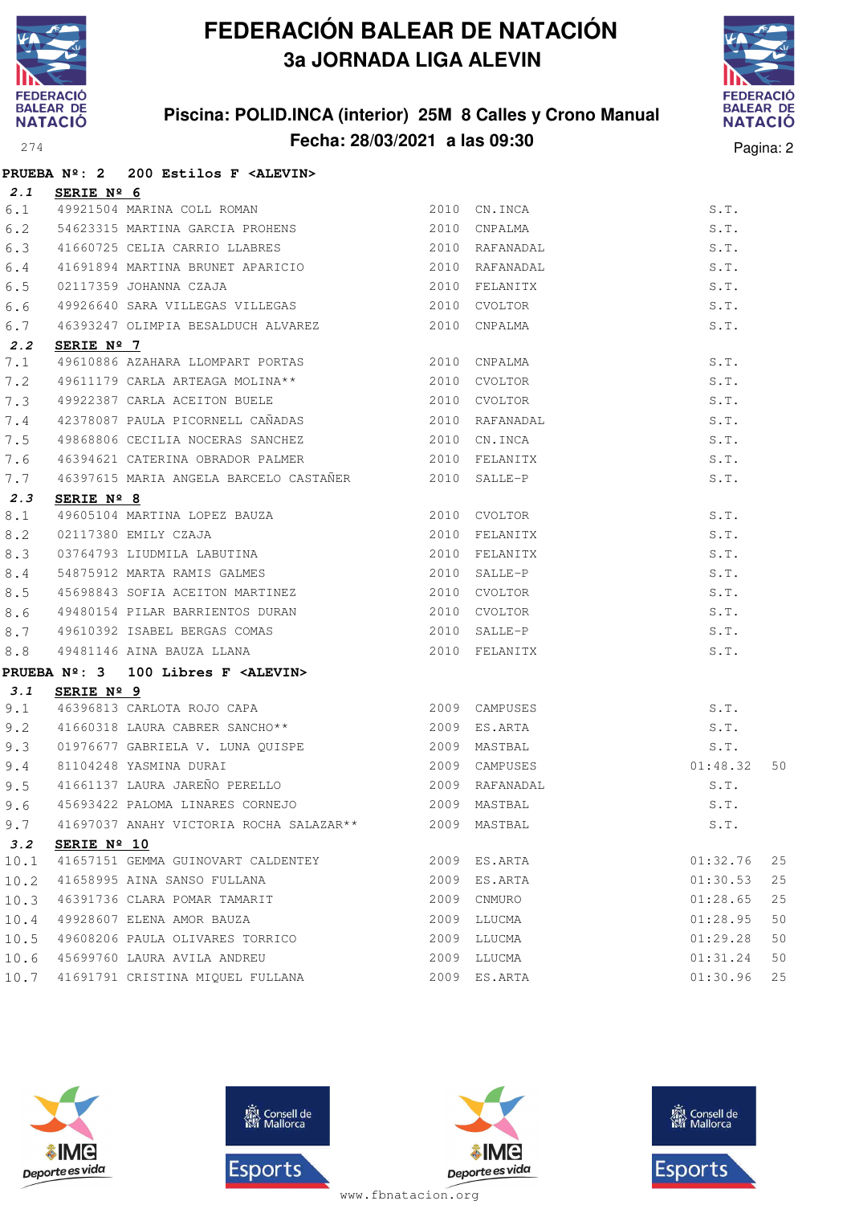

### **Piscina: POLID.INCA (interior) 25M 8 Calles y Crono Manual Fecha: 28/03/2021 a las 09:30** Pagina: 2



|      |                     | PRUEBA Nº: 2 200 Estilos F <alevin></alevin>                                                                                                                                    |                |          |    |
|------|---------------------|---------------------------------------------------------------------------------------------------------------------------------------------------------------------------------|----------------|----------|----|
| 2.1  | SERIE $N^{\circ}$ 6 |                                                                                                                                                                                 |                |          |    |
| 6.1  |                     | 49921504 MARINA COLL ROMAN 2010 CN.INCA                                                                                                                                         |                | S.T.     |    |
| 6.2  |                     | 54623315 MARTINA GARCIA PROHENS 2010 CNPALMA                                                                                                                                    |                | S.T.     |    |
| 6.3  |                     | 41660725 CELIA CARRIO LLABRES 2010 RAFANADAL                                                                                                                                    |                | S.T.     |    |
| 6.4  |                     | 41691894 MARTINA BRUNET APARICIO                                                                                                                                                | 2010 RAFANADAL | S.T.     |    |
| 6.5  |                     | 02117359 JOHANNA CZAJA                                                                                                                                                          |                | S.T.     |    |
| 6.6  |                     |                                                                                                                                                                                 |                | S.T.     |    |
| 6.7  |                     | 46393247 OLIMPIA BESALDUCH ALVAREZ 2010 CNPALMA                                                                                                                                 |                | S.T.     |    |
| 2.2  | SERIE Nº 7          |                                                                                                                                                                                 |                |          |    |
| 7.1  |                     | 49610886 AZAHARA LLOMPART PORTAS 2010 CNPALMA                                                                                                                                   |                | S.T.     |    |
| 7.2  |                     | 49611179 CARLA ARTEAGA MOLINA** 2010 CVOLTOR                                                                                                                                    |                | S.T.     |    |
| 7.3  |                     | 49922387 CARLA ACEITON BUELE 2010 CVOLTOR                                                                                                                                       |                | S.T.     |    |
| 7.4  |                     | 42378087 PAULA PICORNELL CAÑADAS (2010) RAFANADAL                                                                                                                               |                | S.T.     |    |
| 7.5  |                     | 49868806 CECILIA NOCERAS SANCHEZ                                                                                                                                                | 2010 CN.INCA   | S.T.     |    |
| 7.6  |                     | 46394621 CATERINA OBRADOR PALMER 2010 FELANITX                                                                                                                                  |                | S.T.     |    |
| 7.7  |                     | 46397615 MARIA ANGELA BARCELO CASTAÑER 2010 SALLE-P                                                                                                                             |                | S.T.     |    |
| 2.3  | SERIE Nº 8          |                                                                                                                                                                                 |                |          |    |
| 8.1  |                     | 49605104 MARTINA LOPEZ BAUZA (2010) CVOLTOR<br>02117380 EMILY CZAJA (2010) FELANITX<br>03764793 LIUDMILA LABUTINA (2010) FELANITX<br>54875912 MARTA RAMIS GALMES (2010) SALLE-P |                | S.T.     |    |
| 8.2  |                     |                                                                                                                                                                                 | 2010 FELANITX  | S.T.     |    |
| 8.3  |                     |                                                                                                                                                                                 |                | S.T.     |    |
| 8.4  |                     |                                                                                                                                                                                 |                | S.T.     |    |
| 8.5  |                     | 45698843 SOFIA ACEITON MARTINEZ                                                                                                                                                 | 2010 CVOLTOR   | S.T.     |    |
| 8.6  |                     | 49480154 PILAR BARRIENTOS DURAN 2010 CVOLTOR                                                                                                                                    |                | S.T.     |    |
| 8.7  |                     | 49610392 ISABEL BERGAS COMAS 2010 SALLE-P                                                                                                                                       |                | S.T.     |    |
| 8.8  |                     | 49481146 AINA BAUZA LLANA (2010 FELANITX                                                                                                                                        |                | S.T.     |    |
|      |                     | PRUEBA $N^2$ : 3 100 Libres F <alevin></alevin>                                                                                                                                 |                |          |    |
| 3.1  | SERIE $N^{\circ}$ 9 |                                                                                                                                                                                 |                |          |    |
| 9.1  |                     | <u>------ - -</u><br>46396813 CARLOTA ROJO CAPA 2009 CAMPUSES                                                                                                                   |                | S.T.     |    |
| 9.2  |                     | 41660318 LAURA CABRER SANCHO** 2009 ES.ARTA                                                                                                                                     |                | S.T.     |    |
| 9.3  |                     |                                                                                                                                                                                 |                | S.T.     |    |
| 9.4  |                     |                                                                                                                                                                                 | 2009 CAMPUSES  | 01:48.32 | 50 |
| 9.5  |                     | 41661137 LAURA JAREÑO PERELLO $2009$ RAFANADAL                                                                                                                                  |                | S.T.     |    |
|      |                     | 9.6 45693422 PALOMA LINARES CORNEJO 2009 MASTBAL S.T.                                                                                                                           |                |          |    |
| 9.7  |                     | 41697037 ANAHY VICTORIA ROCHA SALAZAR ** 2009 MASTBAL                                                                                                                           |                | S.T.     |    |
| 3.2  | SERIE Nº 10         |                                                                                                                                                                                 |                |          |    |
| 10.1 |                     | 41657151 GEMMA GUINOVART CALDENTEY                                                                                                                                              | 2009 ES.ARTA   | 01:32.76 | 25 |
| 10.2 |                     | 41658995 AINA SANSO FULLANA                                                                                                                                                     | 2009 ES.ARTA   | 01:30.53 | 25 |
| 10.3 |                     | 46391736 CLARA POMAR TAMARIT                                                                                                                                                    | 2009 CNMURO    | 01:28.65 | 25 |
| 10.4 |                     | 49928607 ELENA AMOR BAUZA                                                                                                                                                       | 2009 LLUCMA    | 01:28.95 | 50 |
| 10.5 |                     | 49608206 PAULA OLIVARES TORRICO                                                                                                                                                 | 2009 LLUCMA    | 01:29.28 | 50 |
|      |                     | 10.6 45699760 LAURA AVILA ANDREU                                                                                                                                                | 2009 LLUCMA    | 01:31.24 | 50 |
| 10.7 |                     | 41691791 CRISTINA MIQUEL FULLANA                                                                                                                                                | 2009 ES.ARTA   | 01:30.96 | 25 |







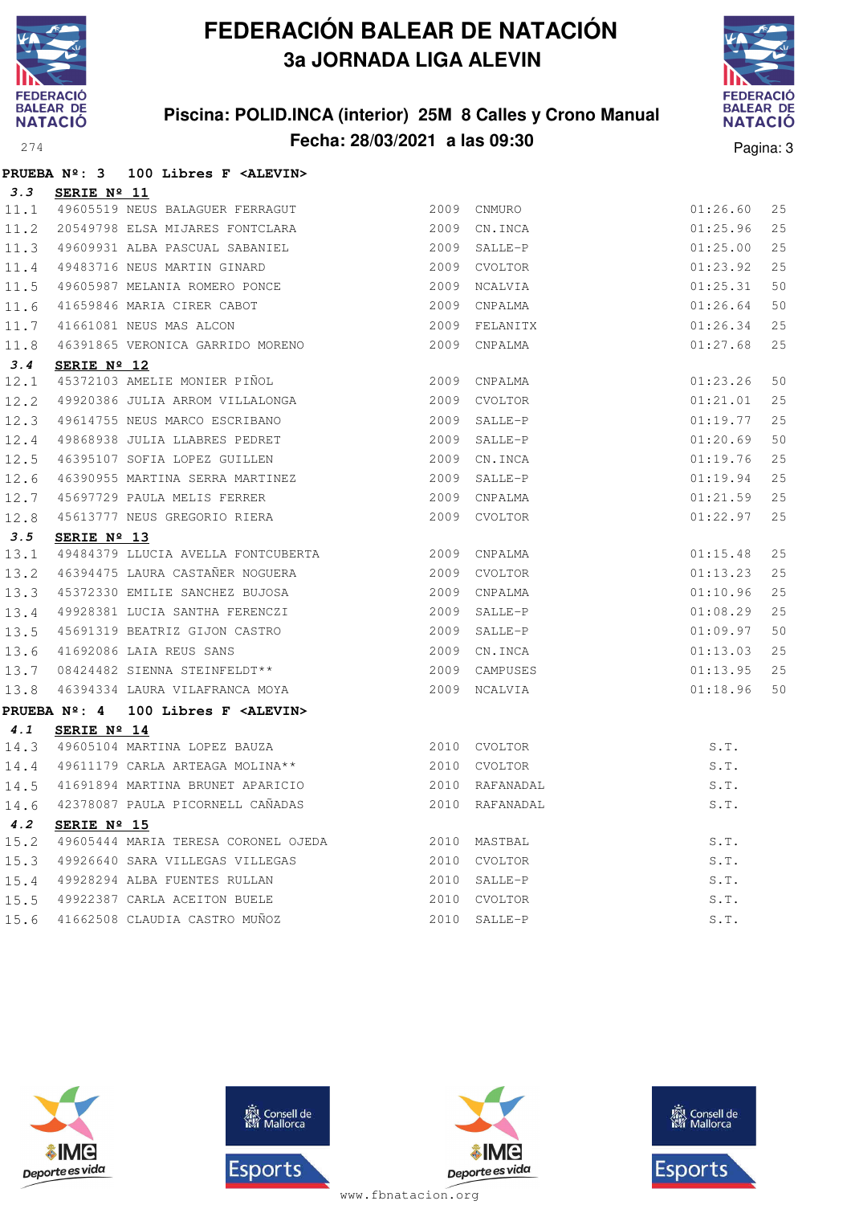

**PRUEBA Nº: 3 100 Libres F <ALEVIN>**

# **FEDERACIÓN BALEAR DE NATACIÓN 3a JORNADA LIGA ALEVIN**

### **Piscina: POLID.INCA (interior) 25M 8 Calles y Crono Manual Fecha: 28/03/2021 a las 09:30** Pagina: 3



| 3.3  | SERIE Nº 11          |                                                                                                                                                                                           |                |          |    |
|------|----------------------|-------------------------------------------------------------------------------------------------------------------------------------------------------------------------------------------|----------------|----------|----|
| 11.1 |                      | 49605519 NEUS BALAGUER FERRAGUT                                                                                                                                                           | 2009 CNMURO    | 01:26.60 | 25 |
| 11.2 |                      | 20549798 ELSA MIJARES FONTCLARA                                                                                                                                                           | 2009 CN.INCA   | 01:25.96 | 25 |
|      |                      | 11.3 49609931 ALBA PASCUAL SABANIEL                                                                                                                                                       | 2009 SALLE-P   | 01:25.00 | 25 |
|      |                      | 11.4 49483716 NEUS MARTIN GINARD                                                                                                                                                          | 2009 CVOLTOR   | 01:23.92 | 25 |
| 11.5 |                      | 49605987 MELANIA ROMERO PONCE                                                                                                                                                             | 2009 NCALVIA   | 01:25.31 | 50 |
| 11.6 |                      | 41659846 MARIA CIRER CABOT                                                                                                                                                                | 2009 CNPALMA   | 01:26.64 | 50 |
| 11.7 |                      | 41661081 NEUS MAS ALCON                                                                                                                                                                   | 2009 FELANITX  | 01:26.34 | 25 |
| 11.8 |                      | 46391865 VERONICA GARRIDO MORENO                                                                                                                                                          | 2009 CNPALMA   | 01:27.68 | 25 |
| 3.4  | SERIE $N^{\circ}$ 12 |                                                                                                                                                                                           |                |          |    |
| 12.1 |                      |                                                                                                                                                                                           |                | 01:23.26 | 50 |
| 12.2 |                      |                                                                                                                                                                                           |                | 01:21.01 | 25 |
|      |                      | 12.3 49614755 NEUS MARCO ESCRIBANO<br>12.4 49868938 JULIA LLABRES PEDRET<br>12.5 46395107 SOFIA LOPEZ GUILLEN<br>12.6 46390955 MARTINA SERRA MARTINEZ<br>12.7 45697729 PAULA MELIS FERRER | 2009 SALLE-P   | 01:19.77 | 25 |
|      |                      |                                                                                                                                                                                           | 2009 SALLE-P   | 01:20.69 | 50 |
|      |                      |                                                                                                                                                                                           | 2009 CN.INCA   | 01:19.76 | 25 |
|      |                      |                                                                                                                                                                                           | 2009 SALLE-P   | 01:19.94 | 25 |
|      |                      |                                                                                                                                                                                           | 2009 CNPALMA   | 01:21.59 | 25 |
| 12.8 |                      | 45613777 NEUS GREGORIO RIERA                                                                                                                                                              | 2009 CVOLTOR   | 01:22.97 | 25 |
| 3.5  | SERIE Nº 13          |                                                                                                                                                                                           |                |          |    |
| 13.1 |                      | 49484379 LLUCIA AVELLA FONTCUBERTA 2009 CNPALMA                                                                                                                                           |                | 01:15.48 | 25 |
| 13.2 |                      | 46394475 LAURA CASTAÑER NOGUERA                                                                                                                                                           | 2009 CVOLTOR   | 01:13.23 | 25 |
| 13.3 |                      | 45372330 EMILIE SANCHEZ BUJOSA                                                                                                                                                            | 2009 CNPALMA   | 01:10.96 | 25 |
| 13.4 |                      | 49928381 LUCIA SANTHA FERENCZI                                                                                                                                                            | 2009 SALLE-P   | 01:08.29 | 25 |
|      |                      | 13.5 45691319 BEATRIZ GIJON CASTRO<br>13.6 41692086 LAIA REUS SANS<br>13.7 08424482 SIENNA STEINFELDT**                                                                                   | 2009 SALLE-P   | 01:09.97 | 50 |
|      |                      |                                                                                                                                                                                           | 2009 CN.INCA   | 01:13.03 | 25 |
|      |                      |                                                                                                                                                                                           | 2009 CAMPUSES  | 01:13.95 | 25 |
| 13.8 |                      | 46394334 LAURA VILAFRANCA MOYA 62009 NCALVIA                                                                                                                                              |                | 01:18.96 | 50 |
|      |                      | PRUEBA Nº: 4 100 Libres F <alevin></alevin>                                                                                                                                               |                |          |    |
| 4.1  | SERIE $N^{\circ}$ 14 |                                                                                                                                                                                           |                |          |    |
|      |                      | 14.3 49605104 MARTINA LOPEZ BAUZA 2010 CVOLTOR                                                                                                                                            |                | S.T.     |    |
|      |                      | 14.4 49611179 CARLA ARTEAGA MOLINA**                                                                                                                                                      | 2010 CVOLTOR   | S.T.     |    |
|      |                      | 14.5 41691894 MARTINA BRUNET APARICIO                                                                                                                                                     | 2010 RAFANADAL | S.T.     |    |
|      |                      | 14.6 42378087 PAULA PICORNELL CAÑADAS                                                                                                                                                     | 2010 RAFANADAL | S.T.     |    |
| 4.2  | SERIE Nº 15          |                                                                                                                                                                                           |                |          |    |
| 15.2 |                      |                                                                                                                                                                                           |                | S.T.     |    |
| 15.3 |                      | 49926640 SARA VILLEGAS VILLEGAS 2010 CVOLTOR                                                                                                                                              |                | S.T.     |    |
| 15.4 |                      | 49928294 ALBA FUENTES RULLAN                                                                                                                                                              | 2010 SALLE-P   | S.T.     |    |
| 15.5 |                      |                                                                                                                                                                                           |                | S.T.     |    |
| 15.6 |                      |                                                                                                                                                                                           |                | S.T.     |    |







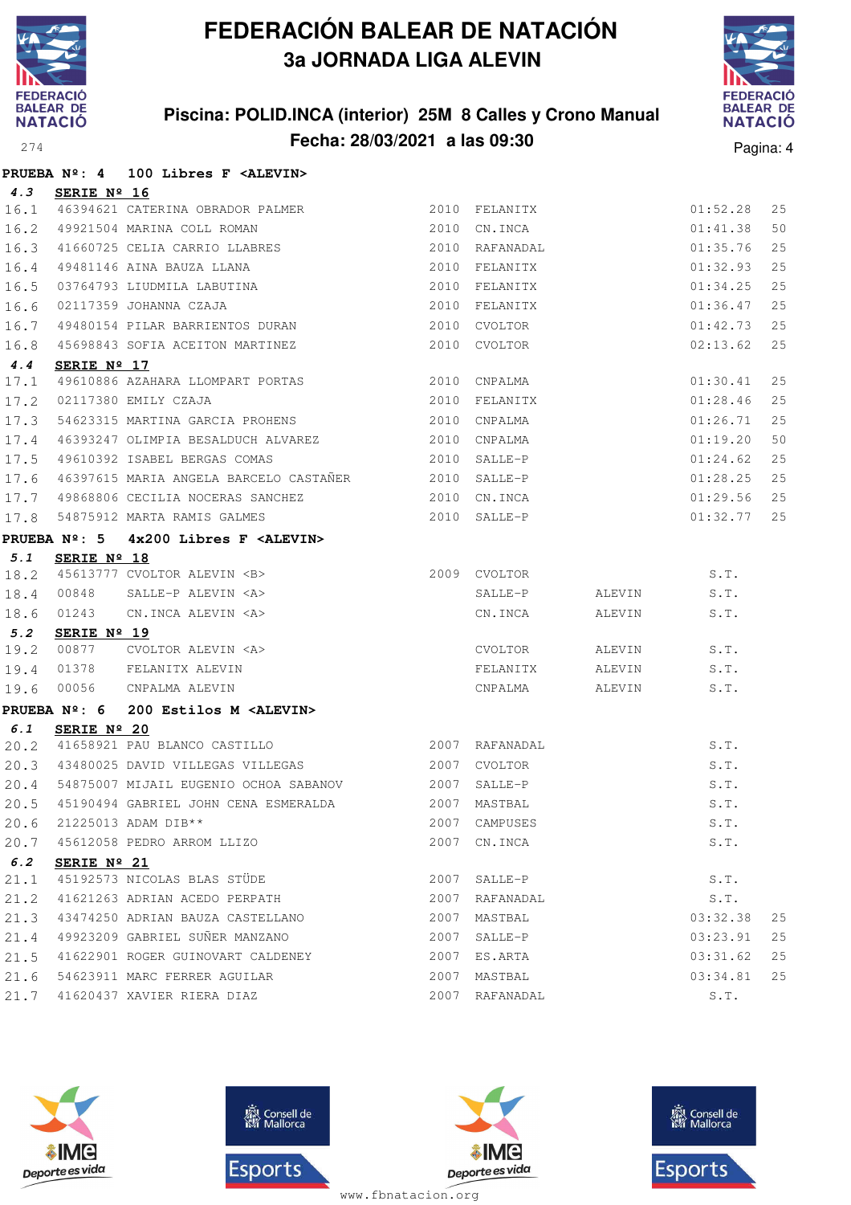

### **Piscina: POLID.INCA (interior) 25M 8 Calles y Crono Manual Fecha: 28/03/2021 a las 09:30** Pagina: 4



|      |                     | PRUEBA Nº: 4 100 Libres F <alevin></alevin>                                                         |               |                |                               |             |    |
|------|---------------------|-----------------------------------------------------------------------------------------------------|---------------|----------------|-------------------------------|-------------|----|
| 4.3  | SERIE Nº 16         |                                                                                                     |               |                |                               |             |    |
|      |                     | 16.1 46394621 CATERINA OBRADOR PALMER                                                               |               |                | 2010 FELANITX<br>2010 CN.INCA | 01:52.28    | 25 |
| 16.2 |                     | 49921504 MARINA COLL ROMAN                                                                          | 2010 CN. INCA |                |                               | 01:41.38    | 50 |
| 16.3 |                     |                                                                                                     |               |                |                               | 01:35.76    | 25 |
| 16.4 |                     |                                                                                                     |               |                |                               | 01:32.93    | 25 |
| 16.5 |                     |                                                                                                     |               |                |                               | 01:34.25    | 25 |
| 16.6 |                     | 02117359 JOHANNA CZAJA                                                                              |               | 2010 FELANITX  |                               | 01:36.47    | 25 |
| 16.7 |                     | 49480154 PILAR BARRIENTOS DURAN                                                                     |               | 2010 CVOLTOR   |                               | 01:42.73    | 25 |
| 16.8 |                     | 45698843 SOFIA ACEITON MARTINEZ                                                                     |               | 2010 CVOLTOR   |                               | 02:13.62    | 25 |
| 4.4  | SERIE Nº 17         |                                                                                                     |               |                |                               |             |    |
| 17.1 |                     | 49610886 AZAHARA LLOMPART PORTAS 2010 CNPALMA                                                       |               |                |                               | 01:30.41    | 25 |
| 17.2 |                     | 02117380 EMILY CZAJA                                                                                | 2010 FELANITX |                |                               | 01:28.46    | 25 |
| 17.3 |                     | 54623315 MARTINA GARCIA PROHENS 2010 CNPALMA                                                        |               |                |                               | 01:26.71    | 25 |
| 17.4 |                     | 46393247 OLIMPIA BESALDUCH ALVAREZ 2010 CNPALMA                                                     |               |                |                               | 01:19.20    | 50 |
| 17.5 |                     | 49610392 ISABEL BERGAS COMAS 2010 SALLE-P                                                           |               |                |                               | 01:24.62    | 25 |
| 17.6 |                     | 46397615 MARIA ANGELA BARCELO CASTAÑER <a>&gt;<a></a> 2010</a> SALLE-P                              |               |                |                               | 01:28.25    | 25 |
|      |                     | 17.7 49868806 CECILIA NOCERAS SANCHEZ 2010 CN.INCA<br>17.8 54875912 MARTA RAMIS GALMES 2010 SALLE-P |               |                |                               | 01:29.56    | 25 |
|      |                     |                                                                                                     |               |                |                               | 01:32.77 25 |    |
|      |                     | PRUEBA Nº: 5 4x200 Libres F <alevin></alevin>                                                       |               |                |                               |             |    |
| 5.1  | SERIE Nº 18         |                                                                                                     |               |                |                               |             |    |
| 18.2 |                     | 45613777 CVOLTOR ALEVIN <b> 2009 CVOLTOR</b>                                                        |               |                |                               | S.T.        |    |
| 18.4 | 00848               | SALLE-P ALEVIN <a></a>                                                                              |               |                | SALLE-P ALEVIN S.T.           |             |    |
| 18.6 | 01243               | CN.INCA ALEVIN <a></a>                                                                              |               | CN.INCA        | ALEVIN                        | S.T.        |    |
| 5.2  | SERIE Nº 19         |                                                                                                     |               |                |                               |             |    |
| 19.2 | 00877               |                                                                                                     |               | CVOLTOR        | ALEVIN                        | S.T.        |    |
| 19.4 | 01378               | CVOLTOR ALEVIN <a><br/>FELANITX ALEVIN<br/>CNPALMA ALEVIN</a>                                       |               | FELANITX       | ALEVIN                        | S.T.        |    |
| 19.6 | 00056               |                                                                                                     |               | CNPALMA ALEVIN |                               | S.T.        |    |
|      | <b>PRUEBA Nº: 6</b> | 200 Estilos M <alevin></alevin>                                                                     |               |                |                               |             |    |
| 6.1  | SERIE Nº 20         |                                                                                                     |               |                |                               |             |    |
| 20.2 |                     | 41658921 PAU BLANCO CASTILLO 2007 RAFANADAL                                                         |               |                |                               | S.T.        |    |
|      |                     | 20.3 43480025 DAVID VILLEGAS VILLEGAS                                                               |               | 2007 CVOLTOR   |                               | S.T.        |    |
| 20.4 |                     | 54875007 MIJAIL EUGENIO OCHOA SABANOV 2007 SALLE-P                                                  |               |                | $S.T.$<br>$S.T.$              | S.T.        |    |
| 20.5 |                     | 45190494 GABRIEL JOHN CENA ESMERALDA 2007 MASTBAL                                                   |               |                |                               |             |    |
|      |                     | 20.6 21225013 ADAM DIB**                                                                            |               | 2007 CAMPUSES  |                               | S.T.        |    |
| 20.7 |                     | 45612058 PEDRO ARROM LLIZO                                                                          |               | 2007 CN. INCA  |                               | S.T.        |    |
| 6.2  | SERIE Nº 21         | 45192573 NICOLAS BLAS STÜDE                                                                         |               |                |                               |             |    |
| 21.1 |                     |                                                                                                     |               | 2007 SALLE-P   |                               | S.T.        |    |
| 21.2 |                     | 41621263 ADRIAN ACEDO PERPATH                                                                       |               | 2007 RAFANADAL |                               | S.T.        |    |
| 21.3 |                     | 43474250 ADRIAN BAUZA CASTELLANO                                                                    | 2007          | MASTBAL        |                               | 03:32.38    | 25 |
| 21.4 |                     | 49923209 GABRIEL SUÑER MANZANO                                                                      |               | 2007 SALLE-P   |                               | 03:23.91    | 25 |
| 21.5 |                     | 41622901 ROGER GUINOVART CALDENEY                                                                   |               | 2007 ES.ARTA   |                               | 03:31.62    | 25 |
| 21.6 |                     | 54623911 MARC FERRER AGUILAR                                                                        |               | 2007 MASTBAL   |                               | 03:34.81    | 25 |
| 21.7 |                     | 41620437 XAVIER RIERA DIAZ                                                                          |               | 2007 RAFANADAL |                               | S.T.        |    |







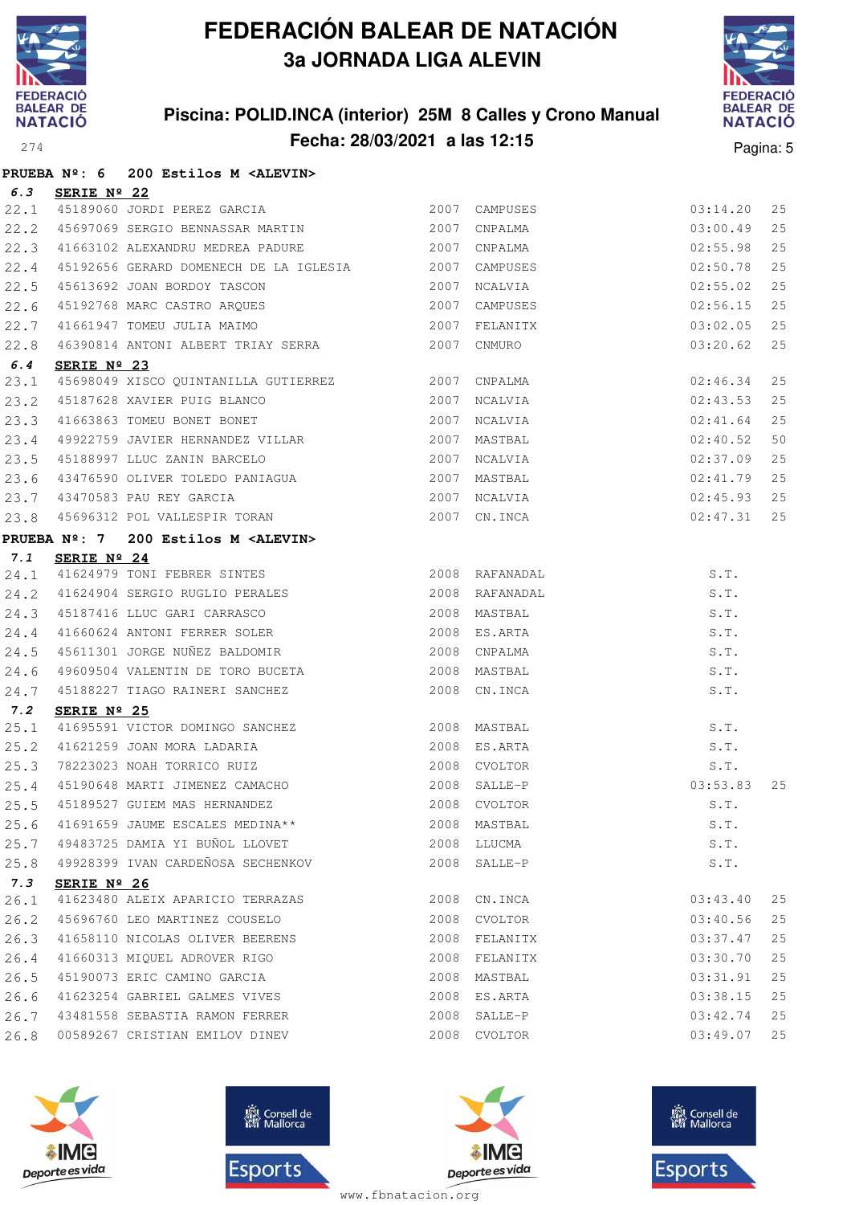

**PRUEBA Nº: 6 200 Estilos M <ALEVIN>**

# **FEDERACIÓN BALEAR DE NATACIÓN 3a JORNADA LIGA ALEVIN**

### **Piscina: POLID.INCA (interior) 25M 8 Calles y Crono Manual Fecha: 28/03/2021 a las 12:15**<sup>274</sup> Pagina: 5



| 6.3         | SERIE Nº 22          |                                                                                                                                                 |      |                |                                                                    |    |
|-------------|----------------------|-------------------------------------------------------------------------------------------------------------------------------------------------|------|----------------|--------------------------------------------------------------------|----|
| 22.1        |                      | 3EKIE N 22<br>45189060 JORDI PEREZ GARCIA                                                                                                       |      | 2007 CAMPUSES  |                                                                    | 25 |
| 22.2        |                      | 45697069 SERGIO BENNASSAR MARTIN 2007 CNPALMA                                                                                                   |      |                |                                                                    | 25 |
| 22.3        |                      | 41663102 ALEXANDRU MEDREA PADURE 2007 CNPALMA                                                                                                   |      |                |                                                                    | 25 |
| 22.4        |                      | 45192656 GERARD DOMENECH DE LA IGLESIA 2007 CAMPUSES                                                                                            |      |                |                                                                    | 25 |
| 22.5        |                      | 45613692 JOAN BORDOY TASCON 1999 2007 NCALVIA<br>45192768 MARC CASTRO ARQUES 1999 2007 CAMPUSES                                                 |      |                | $03:14.20$<br>$03:00.49$<br>$02:55.98$<br>$02:50.78$<br>$02:55.02$ | 25 |
| 22.6        |                      |                                                                                                                                                 |      | CAMPUSES       | 02:56.15                                                           | 25 |
| 22.7        |                      | 2007 FELANITX<br>16390814 ANTONI ALBERT TRIAY SERRA 2007 CNMURO                                                                                 |      |                | 03:02.05                                                           | 25 |
| 22.8        |                      |                                                                                                                                                 |      |                | 03:20.62                                                           | 25 |
| 6.4         | SERIE Nº 23          |                                                                                                                                                 |      |                |                                                                    |    |
| 23.1        |                      | 45698049 XISCO QUINTANILLA GUTIERREZ 2007 CNPALMA                                                                                               |      |                | 02:46.34                                                           | 25 |
| 23.2        |                      | 45187628 XAVIER PUIG BLANCO<br>41663863 TOMEU BONET BONET (2007) NCALVIA<br>49922759 JAVIER HERNANDEZ VILLAR (2007) MASTBAL                     |      |                | 02:43.53                                                           | 25 |
| 23.3        |                      |                                                                                                                                                 |      |                | $02:41.64$<br>$02:40.52$<br>$02:37.09$                             | 25 |
| 23.4        |                      |                                                                                                                                                 |      |                |                                                                    | 50 |
| 23.5        |                      | 45188997 LLUC ZANIN BARCELO $2007$ NCALVIA                                                                                                      |      |                |                                                                    | 25 |
| 23.6        |                      |                                                                                                                                                 |      |                | 02:41.79                                                           | 25 |
| 23.7        |                      |                                                                                                                                                 |      |                | 02:45.93                                                           | 25 |
| 23.8        |                      | 43470583 PAU REY GARCIA (2007)<br>43470583 PAU REY GARCIA (2007) 2007 RCALVIA<br>45696312 POL VALLESPIR TORAN (2007) CN.INCA                    |      |                | 02:47.31                                                           | 25 |
|             |                      | PRUEBA Nº: 7 200 Estilos M <alevin></alevin>                                                                                                    |      |                |                                                                    |    |
| 7.1         | SERIE $N^{\circ}$ 24 |                                                                                                                                                 |      |                |                                                                    |    |
|             |                      |                                                                                                                                                 |      |                | S.T.                                                               |    |
|             |                      | 7.1 SERIE Nº 24<br>24.1 41624979 TONI FEBRER SINTES 2008 RAFANADAL<br>24.2 41624904 SERGIO RUGLIO PERALES 2008 RAFANADAL                        |      | 2008 RAFANADAL | S.T.                                                               |    |
| 24.3        |                      | 45187416 LLUC GARI CARRASCO 2008 MASTBAL                                                                                                        |      |                | S.T.                                                               |    |
| 24.4        |                      | 41660624 ANTONI FERRER SOLER 2008 ES.ARTA                                                                                                       |      |                | S.T.                                                               |    |
| 24.5        |                      | 45611301 JORGE NUÑEZ BALDOMIR 2008 CNPALMA                                                                                                      |      |                | S.T.                                                               |    |
| 24.6        |                      | 49609504 VALENTIN DE TORO BUCETA 2008 MASTBAL                                                                                                   |      |                | S.T.                                                               |    |
| 24.7        |                      | 45188227 TIAGO RAINERI SANCHEZ 2008 CN.INCA                                                                                                     |      |                | S.T.                                                               |    |
| 7.2         | SERIE Nº 25          |                                                                                                                                                 |      |                |                                                                    |    |
| 25.1        |                      | 41695591 VICTOR DOMINGO SANCHEZ<br>41621259 JOAN MORA LADARIA 2008 ES.ARTA<br>78223023 NOAH TORRICO RUIZ 2008 CVOLTOR<br>45199669 VIRTE ERITHER |      |                |                                                                    |    |
| 25.2        |                      |                                                                                                                                                 |      |                |                                                                    |    |
| 25.3        |                      |                                                                                                                                                 |      |                |                                                                    |    |
| 25.4        |                      | 45190648 MARTI JIMENEZ CAMACHO 2008 SALLE-P<br>45189527 GUIEM MAS HERNANDEZ 2008 CVOLTOR                                                        |      |                | S.T.<br>S.T.<br>S.T.<br>03:53.83                                   | 25 |
| 25.5        |                      |                                                                                                                                                 |      |                | S.T.                                                               |    |
|             |                      | 25.6 41691659 JAUME ESCALES MEDINA** 2008 MASTBAL 2008 MASTBAL                                                                                  |      |                |                                                                    |    |
| 25.7        |                      | 49483725 DAMIA YI BUÑOL LLOVET                                                                                                                  |      | 2008 LLUCMA    | S.T.                                                               |    |
| 25.8        |                      | 49928399 IVAN CARDEÑOSA SECHENKOV                                                                                                               |      | 2008 SALLE-P   | S.T.                                                               |    |
| 7.3<br>26.1 | SERIE Nº 26          | 41623480 ALEIX APARICIO TERRAZAS                                                                                                                | 2008 | CN.INCA        | 03:43.40                                                           | 25 |
| 26.2        |                      | 45696760 LEO MARTINEZ COUSELO                                                                                                                   |      | 2008 CVOLTOR   | 03:40.56                                                           | 25 |
| 26.3        |                      | 41658110 NICOLAS OLIVER BEERENS                                                                                                                 |      | 2008 FELANITX  | 03:37.47                                                           | 25 |
| 26.4        |                      | 41660313 MIQUEL ADROVER RIGO                                                                                                                    |      | 2008 FELANITX  | 03:30.70                                                           | 25 |
| 26.5        |                      | 45190073 ERIC CAMINO GARCIA                                                                                                                     |      | 2008 MASTBAL   | 03:31.91                                                           | 25 |
| 26.6        |                      | 41623254 GABRIEL GALMES VIVES                                                                                                                   |      | 2008 ES.ARTA   | 03:38.15                                                           | 25 |
| 26.7        |                      | 43481558 SEBASTIA RAMON FERRER                                                                                                                  |      | 2008 SALLE-P   | 03:42.74                                                           | 25 |
| 26.8        |                      | 00589267 CRISTIAN EMILOV DINEV                                                                                                                  |      | 2008 CVOLTOR   | 03:49.07                                                           | 25 |
|             |                      |                                                                                                                                                 |      |                |                                                                    |    |







**感** Consell de Esports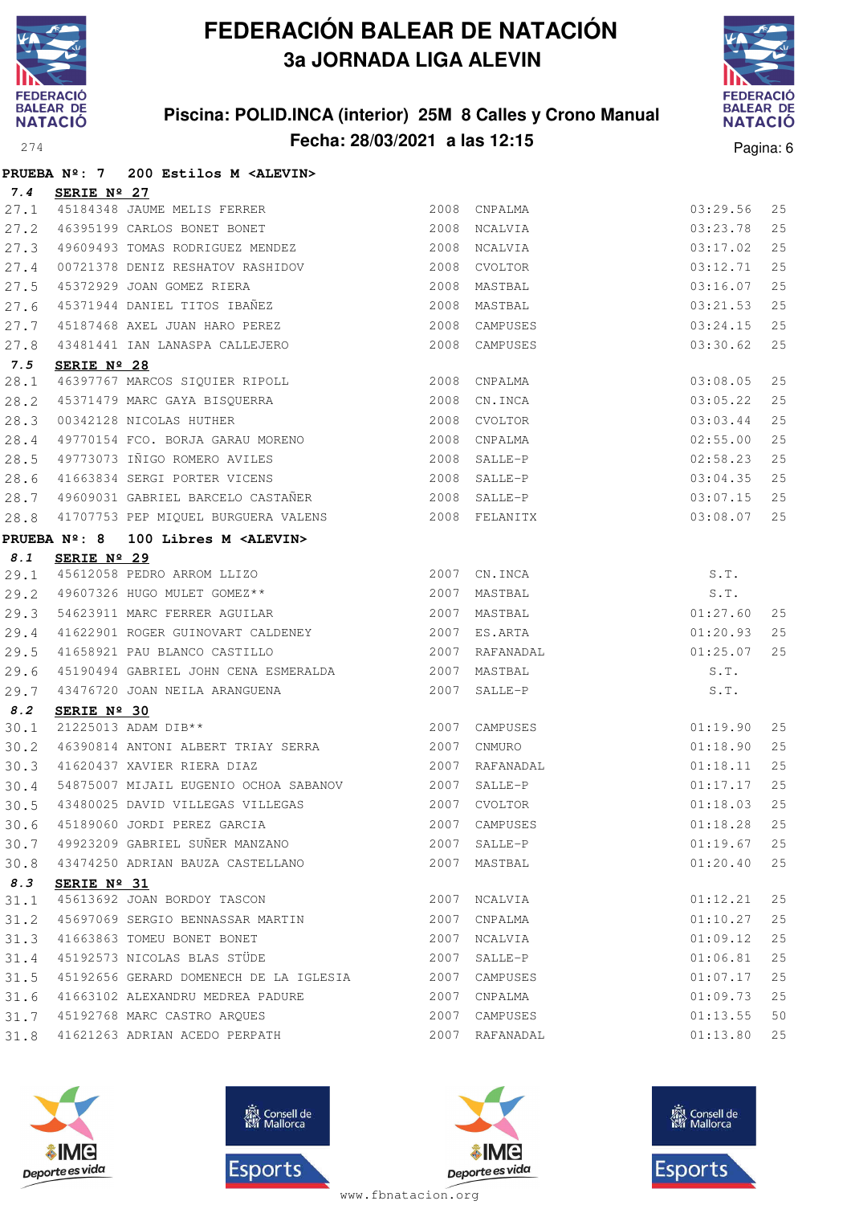

### **Piscina: POLID.INCA (interior) 25M 8 Calles y Crono Manual Fecha: 28/03/2021 a las 12:15**<sup>274</sup> Pagina: 6



|      | PRUEBA $N^{\circ}$ : 7 | 200 Estilos M <alevin></alevin>                                                     |                |                |             |    |
|------|------------------------|-------------------------------------------------------------------------------------|----------------|----------------|-------------|----|
| 7.4  | SERIE Nº 27            |                                                                                     |                |                |             |    |
| 27.1 |                        | 45184348 JAUME MELIS FERRER                                                         |                | 2008 CNPALMA   | 03:29.56    | 25 |
| 27.2 |                        | 46395199 CARLOS BONET BONET                                                         | 2008 NCALVIA   |                | 03:23.78    | 25 |
| 27.3 |                        | 49609493 TOMAS RODRIGUEZ MENDEZ                                                     |                | 2008 NCALVIA   | 03:17.02    | 25 |
| 27.4 |                        |                                                                                     |                |                | 03:12.71    | 25 |
| 27.5 |                        | 45372929 JOAN GOMEZ RIERA                                                           | 2008           | MASTBAL        | 03:16.07    | 25 |
| 27.6 |                        | 45371944 DANIEL TITOS IBAÑEZ                                                        |                | 2008 MASTBAL   | 03:21.53    | 25 |
| 27.7 |                        | 45187468 AXEL JUAN HARO PEREZ                                                       |                | 2008 CAMPUSES  | 03:24.15    | 25 |
| 27.8 |                        | 43481441 IAN LANASPA CALLEJERO                                                      |                | 2008 CAMPUSES  | 03:30.62    | 25 |
| 7.5  | SERIE Nº 28            |                                                                                     |                |                |             |    |
| 28.1 |                        | 46397767 MARCOS SIQUIER RIPOLL 2008 CNPALMA                                         |                |                | 03:08.05    | 25 |
| 28.2 |                        | 45371479 MARC GAYA BISQUERRA 2008 CN.INCA                                           |                |                | 03:05.22    | 25 |
| 28.3 |                        | 00342128 NICOLAS HUTHER<br>19770154 FCO. BORJA GARAU MORENO<br>2008 CNPALMA         |                |                | 03:03.44    | 25 |
| 28.4 |                        |                                                                                     |                |                | 02:55.00    | 25 |
| 28.5 |                        | 49773073 IÑIGO ROMERO AVILES 2008 SALLE-P                                           |                |                | 02:58.23    | 25 |
| 28.6 |                        | 41663834 SERGI PORTER VICENS                                                        |                | 2008 SALLE-P   | 03:04.35    | 25 |
| 28.7 |                        | 49609031 GABRIEL BARCELO CASTAÑER                                                   | 2008 SALLE-P   |                | 03:07.15    | 25 |
| 28.8 |                        | 41707753 PEP MIQUEL BURGUERA VALENS 2008 FELANITX                                   |                |                | 03:08.07    | 25 |
|      | <b>PRUEBA Nº: 8</b>    | 100 Libres M <alevin></alevin>                                                      |                |                |             |    |
| 8.1  | SERIE Nº 29            |                                                                                     |                |                |             |    |
| 29.1 |                        | 45612058 PEDRO ARROM LLIZO 2007 CN.INCA<br>49607326 HUGO MULET GOMEZ** 2007 MASTBAL |                | 2007 CN.INCA   | S.T.        |    |
| 29.2 |                        |                                                                                     |                |                | S.T.        |    |
| 29.3 |                        | 54623911 MARC FERRER AGUILAR 2007 MASTBAL                                           |                |                | 01:27.60    | 25 |
| 29.4 |                        | 41622901 ROGER GUINOVART CALDENEY<br>41658921 PAU BLANCO CASTILLO                   | 2007           | ES.ARTA        | 01:20.93    | 25 |
| 29.5 |                        | 41658921 PAU BLANCO CASTILLO                                                        |                | 2007 RAFANADAL | 01:25.07    | 25 |
| 29.6 |                        | 45190494 GABRIEL JOHN CENA ESMERALDA 62007 MASTBAL                                  |                |                | S.T.        |    |
| 29.7 |                        | 43476720 JOAN NEILA ARANGUENA                                                       | 2007           | SALLE-P        | S.T.        |    |
| 8.2  | SERIE Nº 30            |                                                                                     |                |                |             |    |
| 30.1 |                        | 21225013 ADAM DIB**                                                                 | 2007 CAMPUSES  |                | 01:19.90    | 25 |
| 30.2 |                        | 46390814 ANTONI ALBERT TRIAY SERRA 2007 CNMURO                                      |                |                | 01:18.90    | 25 |
| 30.3 |                        | 41620437 XAVIER RIERA DIAZ                                                          | 2007 RAFANADAL |                | 01:18.11    | 25 |
| 30.4 |                        | 54875007 MIJAIL EUGENIO OCHOA SABANOV 2007 SALLE-P                                  |                |                | 01:17.17    | 25 |
|      |                        | 30.5 43480025 DAVID VILLEGAS VILLEGAS 2007 CVOLTOR                                  |                |                | 01:18.03 25 |    |
| 30.6 |                        | 45189060 JORDI PEREZ GARCIA                                                         |                | 2007 CAMPUSES  | 01:18.28    | 25 |
| 30.7 |                        | 49923209 GABRIEL SUÑER MANZANO                                                      | 2007           | SALLE-P        | 01:19.67    | 25 |
| 30.8 |                        | 43474250 ADRIAN BAUZA CASTELLANO                                                    | 2007           | MASTBAL        | 01:20.40    | 25 |
| 8.3  | SERIE Nº 31            |                                                                                     |                |                |             |    |
| 31.1 |                        | 45613692 JOAN BORDOY TASCON                                                         | 2007           | NCALVIA        | 01:12.21    | 25 |
| 31.2 |                        | 45697069 SERGIO BENNASSAR MARTIN                                                    | 2007           | CNPALMA        | 01:10.27    | 25 |
| 31.3 |                        | 41663863 TOMEU BONET BONET                                                          | 2007           | NCALVIA        | 01:09.12    | 25 |
| 31.4 |                        | 45192573 NICOLAS BLAS STÜDE                                                         | 2007           | SALLE-P        | 01:06.81    | 25 |
| 31.5 |                        | 45192656 GERARD DOMENECH DE LA IGLESIA                                              |                | 2007 CAMPUSES  | 01:07.17    | 25 |
| 31.6 |                        | 41663102 ALEXANDRU MEDREA PADURE                                                    |                | 2007 CNPALMA   | 01:09.73    | 25 |
| 31.7 |                        | 45192768 MARC CASTRO ARQUES                                                         |                | 2007 CAMPUSES  | 01:13.55    | 50 |







**感** Consell de Esports

www.fbnatacion.org

31.8 41621263 ADRIAN ACEDO PERPATH 2007 RAFANADAL 01:13.80 25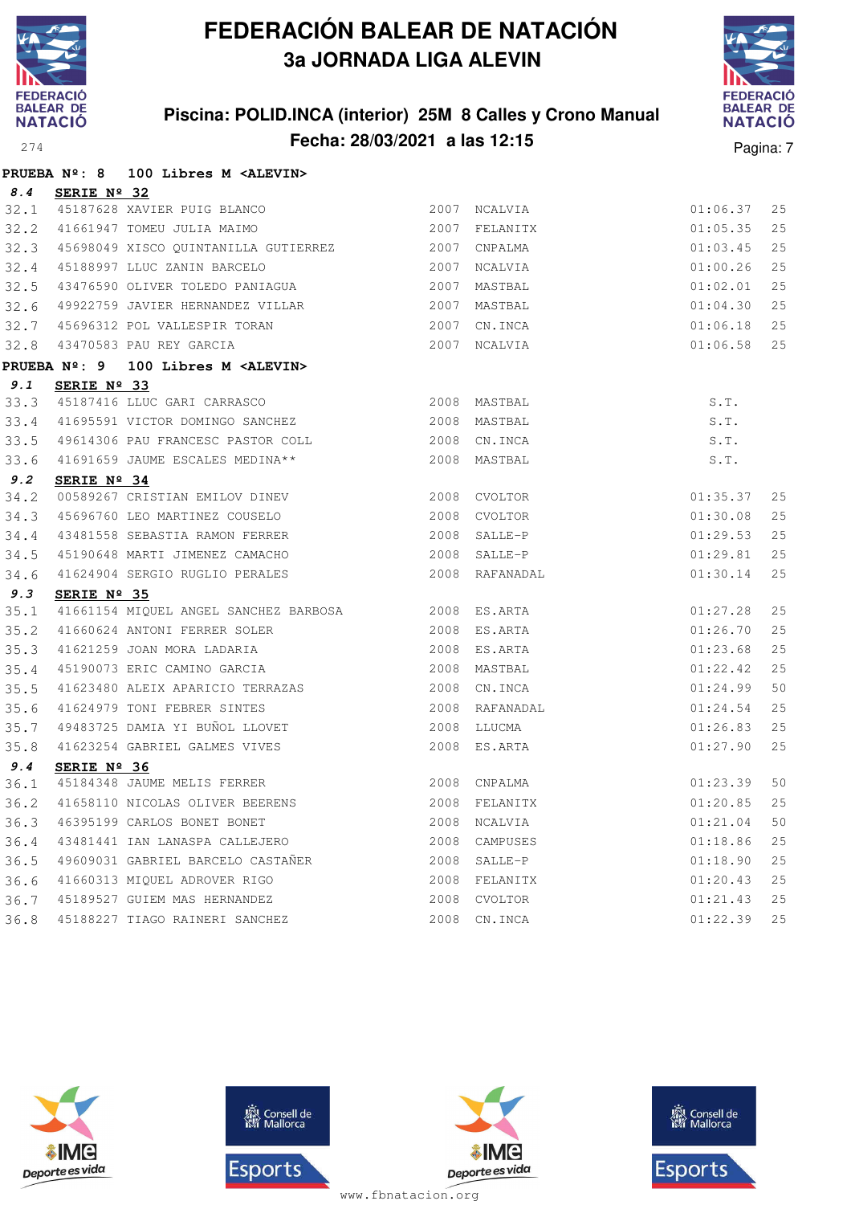

**PRUEBA Nº: 8 100 Libres M <ALEVIN>**

## **FEDERACIÓN BALEAR DE NATACIÓN 3a JORNADA LIGA ALEVIN**

### **Piscina: POLID.INCA (interior) 25M 8 Calles y Crono Manual Fecha: 28/03/2021 a las 12:15**<sup>274</sup> Pagina: 7



| 8.4  | SERIE Nº 32                                                                                                                                                                                                                                                                                                                                                                                                                                    |      |                |          |     |
|------|------------------------------------------------------------------------------------------------------------------------------------------------------------------------------------------------------------------------------------------------------------------------------------------------------------------------------------------------------------------------------------------------------------------------------------------------|------|----------------|----------|-----|
| 32.1 | 45187628 XAVIER PUIG BLANCO<br>41661947 TOMEU JULIA MAIMO                                                                                                                                                                                                                                                                                                                                                                                      |      | 2007 NCALVIA   | 01:06.37 | 25  |
| 32.2 |                                                                                                                                                                                                                                                                                                                                                                                                                                                |      | 2007 FELANITX  | 01:05.35 | 25  |
|      | 32.3 45698049 XISCO QUINTANILLA GUTIERREZ 2007 CNPALMA                                                                                                                                                                                                                                                                                                                                                                                         |      |                | 01:03.45 | 25  |
| 32.4 | 45188997 LLUC ZANIN BARCELO                                                                                                                                                                                                                                                                                                                                                                                                                    | 2007 | NCALVIA        | 01:00.26 | 25  |
| 32.5 | 43476590 OLIVER TOLEDO PANIAGUA                                                                                                                                                                                                                                                                                                                                                                                                                | 2007 | MASTBAL        | 01:02.01 | 25  |
| 32.6 | 49922759 JAVIER HERNANDEZ VILLAR                                                                                                                                                                                                                                                                                                                                                                                                               | 2007 | MASTBAL        | 01:04.30 | 25  |
| 32.7 | 45696312 POL VALLESPIR TORAN                                                                                                                                                                                                                                                                                                                                                                                                                   | 2007 | CN.INCA        | 01:06.18 | 25  |
| 32.8 | 43470583 PAU REY GARCIA                                                                                                                                                                                                                                                                                                                                                                                                                        | 2007 | NCALVIA        | 01:06.58 | 25  |
|      | PRUEBA Nº: 9<br>100 Libres M <alevin></alevin>                                                                                                                                                                                                                                                                                                                                                                                                 |      |                |          |     |
| 9.1  | SERIE Nº 33                                                                                                                                                                                                                                                                                                                                                                                                                                    |      |                |          |     |
| 33.3 | 45187416 LLUC GARI CARRASCO                                                                                                                                                                                                                                                                                                                                                                                                                    |      | 2008 MASTBAL   | S.T.     |     |
| 33.4 | 41695591 VICTOR DOMINGO SANCHEZ                                                                                                                                                                                                                                                                                                                                                                                                                |      | 2008 MASTBAL   | S.T.     |     |
| 33.5 |                                                                                                                                                                                                                                                                                                                                                                                                                                                |      | 2008 CN.INCA   | S.T.     |     |
| 33.6 | 41695591 VICTOR DOMINSS<br>49614306 PAU FRANCESC PASTOR COLL<br>-------- MEDINA**                                                                                                                                                                                                                                                                                                                                                              |      | 2008 MASTBAL   | S.T.     |     |
| 9.2  | SERIE $N^{\circ}$ 34                                                                                                                                                                                                                                                                                                                                                                                                                           |      |                |          |     |
| 34.2 | 00589267 CRISTIAN EMILOV DINEV                                                                                                                                                                                                                                                                                                                                                                                                                 |      | 2008 CVOLTOR   | 01:35.37 | 25  |
| 34.3 | 45696760 LEO MARTINEZ COUSELO                                                                                                                                                                                                                                                                                                                                                                                                                  | 2008 | CVOLTOR        | 01:30.08 | 25  |
| 34.4 | 43481558 SEBASTIA RAMON FERRER                                                                                                                                                                                                                                                                                                                                                                                                                 |      | 2008 SALLE-P   | 01:29.53 | 25  |
| 34.5 | 45190648 MARTI JIMENEZ CAMACHO                                                                                                                                                                                                                                                                                                                                                                                                                 |      | 2008 SALLE-P   | 01:29.81 | 25  |
| 34.6 | 41624904 SERGIO RUGLIO PERALES                                                                                                                                                                                                                                                                                                                                                                                                                 | 2008 | RAFANADAL      | 01:30.14 | 25  |
| 9.3  | SERIE Nº 35                                                                                                                                                                                                                                                                                                                                                                                                                                    |      |                |          |     |
| 35.1 |                                                                                                                                                                                                                                                                                                                                                                                                                                                |      |                | 01:27.28 | 25  |
| 35.2 | $\begin{tabular}{lllllllllllllllllllllll} \multicolumn{4}{c}{\textbf{A1661154} \text{ M1QUEL ANGEL SANCHEZ BARBOSA}} & \multicolumn{4}{c}{\textbf{2008}} & \multicolumn{4}{c}{\textbf{ES.ARTA}}\\ \multicolumn{4}{c}{\textbf{41660624} \text{ ANTONI FERRER SOLER}} & \multicolumn{4}{c}{\textbf{2008}} & \multicolumn{4}{c}{\textbf{ES.ARTA}}\\ \multicolumn{4}{c}{\textbf{41621259} \text{ JOAN MORA LADARIA}} & \multicolumn{4}{c}{\textbf$ |      |                | 01:26.70 | 25  |
| 35.3 |                                                                                                                                                                                                                                                                                                                                                                                                                                                |      |                | 01:23.68 | 25  |
| 35.4 |                                                                                                                                                                                                                                                                                                                                                                                                                                                |      |                | 01:22.42 | 25  |
| 35.5 | 41623480 ALEIX APARICIO TERRAZAS<br>41624979 TONI FEBRER SINTES                                                                                                                                                                                                                                                                                                                                                                                |      | 2008 CN.INCA   | 01:24.99 | 50  |
| 35.6 |                                                                                                                                                                                                                                                                                                                                                                                                                                                |      | 2008 RAFANADAL | 01:24.54 | 25  |
| 35.7 | 49483725 DAMIA YI BUÑOL LLOVET                                                                                                                                                                                                                                                                                                                                                                                                                 | 2008 | LLUCMA         | 01:26.83 | 2.5 |
| 35.8 | 41623254 GABRIEL GALMES VIVES                                                                                                                                                                                                                                                                                                                                                                                                                  |      | 2008 ES.ARTA   | 01:27.90 | 25  |
| 9.4  | SERIE Nº 36                                                                                                                                                                                                                                                                                                                                                                                                                                    |      |                |          |     |
| 36.1 | 45184348 JAUME MELIS FERRER                                                                                                                                                                                                                                                                                                                                                                                                                    |      | 2008 CNPALMA   | 01:23.39 | 50  |
| 36.2 | 41658110 NICOLAS OLIVER BEERENS 2008 FELANITX                                                                                                                                                                                                                                                                                                                                                                                                  |      |                | 01:20.85 | 25  |
| 36.3 | 46395199 CARLOS BONET BONET                                                                                                                                                                                                                                                                                                                                                                                                                    |      | 2008 NCALVIA   | 01:21.04 | 50  |
| 36.4 | 43481441 IAN LANASPA CALLEJERO                                                                                                                                                                                                                                                                                                                                                                                                                 | 2008 | CAMPUSES       | 01:18.86 | 25  |
| 36.5 | 49609031 GABRIEL BARCELO CASTAÑER                                                                                                                                                                                                                                                                                                                                                                                                              |      | 2008 SALLE-P   | 01:18.90 | 25  |
| 36.6 | 41660313 MIQUEL ADROVER RIGO                                                                                                                                                                                                                                                                                                                                                                                                                   |      | 2008 FELANITX  | 01:20.43 | 25  |
| 36.7 | 45189527 GUIEM MAS HERNANDEZ                                                                                                                                                                                                                                                                                                                                                                                                                   |      | 2008 CVOLTOR   | 01:21.43 | 25  |
| 36.8 | 45188227 TIAGO RAINERI SANCHEZ                                                                                                                                                                                                                                                                                                                                                                                                                 | 2008 | CN.INCA        | 01:22.39 | 25  |